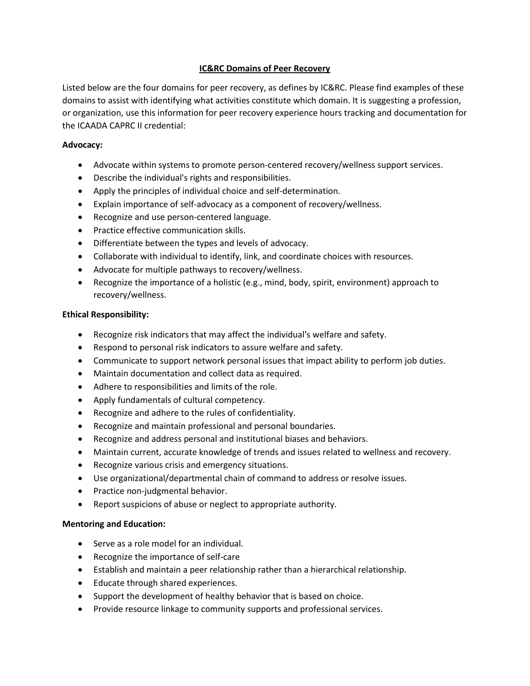# **IC&RC Domains of Peer Recovery**

Listed below are the four domains for peer recovery, as defines by IC&RC. Please find examples of these domains to assist with identifying what activities constitute which domain. It is suggesting a profession, or organization, use this information for peer recovery experience hours tracking and documentation for the ICAADA CAPRC II credential:

# **Advocacy:**

- Advocate within systems to promote person-centered recovery/wellness support services.
- Describe the individual's rights and responsibilities.
- Apply the principles of individual choice and self‐determination.
- Explain importance of self-advocacy as a component of recovery/wellness.
- Recognize and use person-centered language.
- Practice effective communication skills.
- Differentiate between the types and levels of advocacy.
- Collaborate with individual to identify, link, and coordinate choices with resources.
- Advocate for multiple pathways to recovery/wellness.
- Recognize the importance of a holistic (e.g., mind, body, spirit, environment) approach to recovery/wellness.

# **Ethical Responsibility:**

- Recognize risk indicators that may affect the individual's welfare and safety.
- Respond to personal risk indicators to assure welfare and safety.
- Communicate to support network personal issues that impact ability to perform job duties.
- Maintain documentation and collect data as required.
- Adhere to responsibilities and limits of the role.
- Apply fundamentals of cultural competency.
- Recognize and adhere to the rules of confidentiality.
- Recognize and maintain professional and personal boundaries.
- Recognize and address personal and institutional biases and behaviors.
- Maintain current, accurate knowledge of trends and issues related to wellness and recovery.
- Recognize various crisis and emergency situations.
- Use organizational/departmental chain of command to address or resolve issues.
- Practice non-judgmental behavior.
- Report suspicions of abuse or neglect to appropriate authority.

### **Mentoring and Education:**

- Serve as a role model for an individual.
- Recognize the importance of self-care
- Establish and maintain a peer relationship rather than a hierarchical relationship.
- Educate through shared experiences.
- Support the development of healthy behavior that is based on choice.
- Provide resource linkage to community supports and professional services.